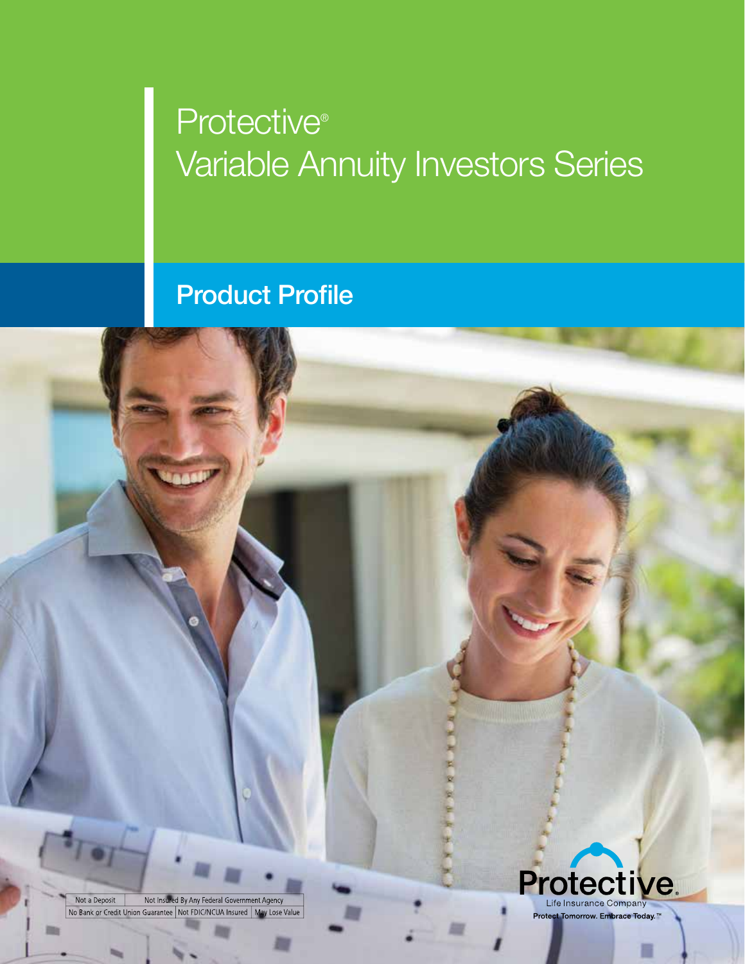# **Protective®** Variable Annuity Investors Series

# Product Profile

Not Insured By Any Federal Government Agency Not a Deposit No Bank or Credit Union Guarantee Not FDIC/NCUA Insured | May Lose Value

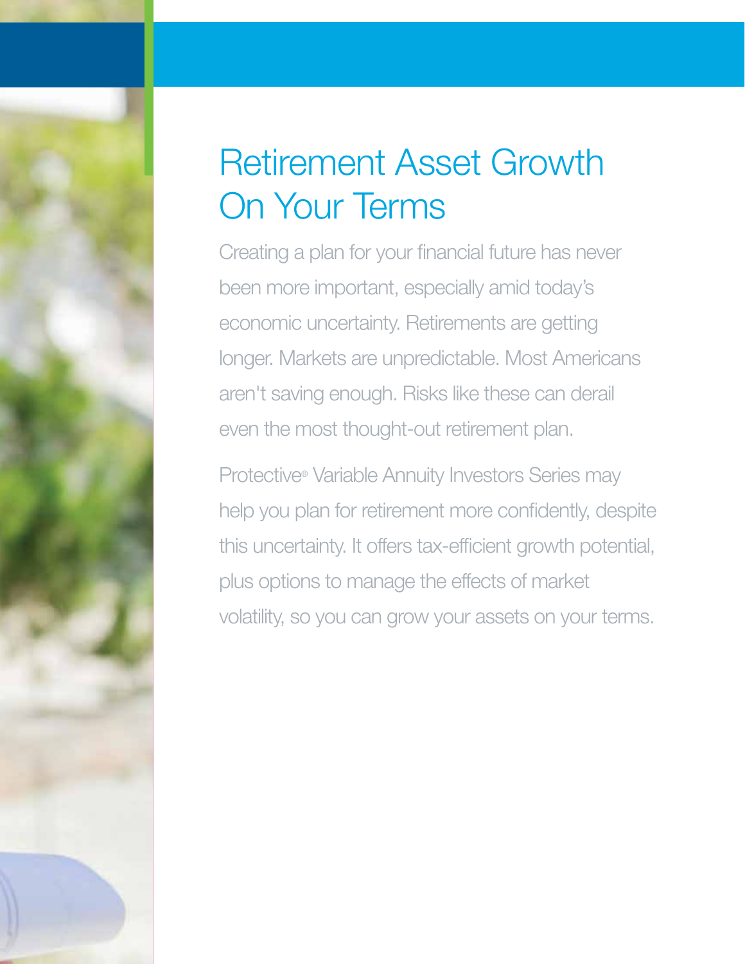# Retirement Asset Growth On Your Terms

Creating a plan for your financial future has never been more important, especially amid today's economic uncertainty. Retirements are getting longer. Markets are unpredictable. Most Americans aren't saving enough. Risks like these can derail even the most thought-out retirement plan.

Protective® Variable Annuity Investors Series may help you plan for retirement more confidently, despite this uncertainty. It offers tax-efficient growth potential, plus options to manage the effects of market volatility, so you can grow your assets on your terms.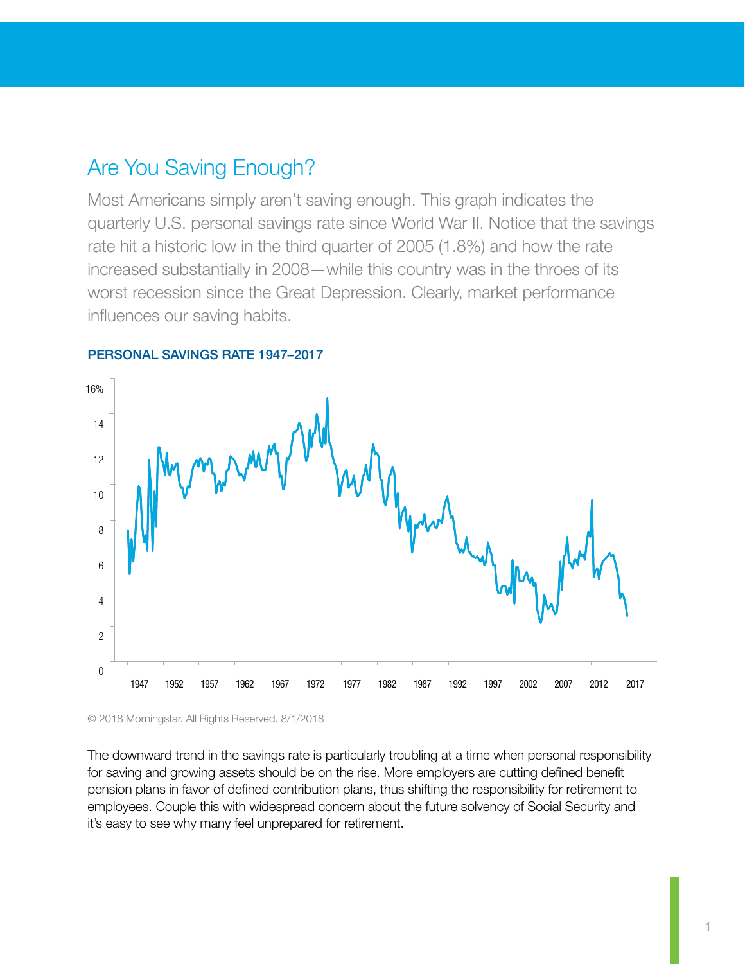## Are You Saving Enough?

Most Americans simply aren't saving enough. This graph indicates the quarterly U.S. personal savings rate since World War II. Notice that the savings rate hit a historic low in the third quarter of 2005 (1.8%) and how the rate increased substantially in 2008—while this country was in the throes of its worst recession since the Great Depression. Clearly, market performance influences our saving habits.



#### PERSONAL SAVINGS RATE 1947–2017

© 2018 Morningstar. All Rights Reserved. 8/1/2018

The downward trend in the savings rate is particularly troubling at a time when personal responsibility for saving and growing assets should be on the rise. More employers are cutting defined benefit pension plans in favor of defined contribution plans, thus shifting the responsibility for retirement to employees. Couple this with widespread concern about the future solvency of Social Security and it's easy to see why many feel unprepared for retirement.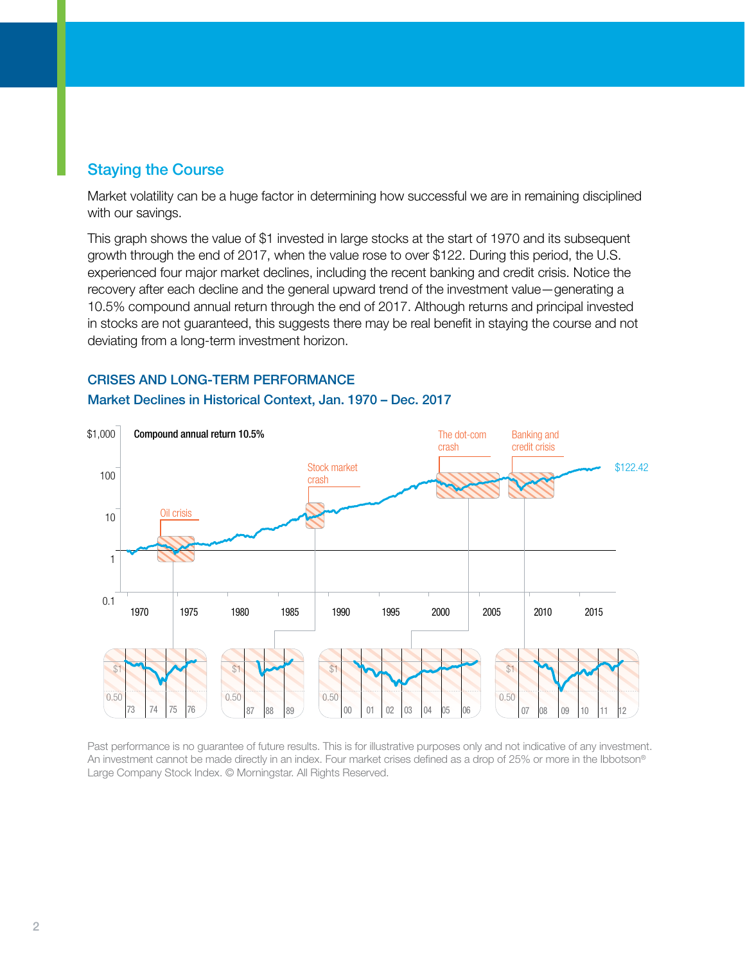## Staying the Course

Market volatility can be a huge factor in determining how successful we are in remaining disciplined with our savings.

This graph shows the value of \$1 invested in large stocks at the start of 1970 and its subsequent growth through the end of 2017, when the value rose to over \$122. During this period, the U.S. experienced four major market declines, including the recent banking and credit crisis. Notice the recovery after each decline and the general upward trend of the investment value—generating a 10.5% compound annual return through the end of 2017. Although returns and principal invested in stocks are not guaranteed, this suggests there may be real benefit in staying the course and not deviating from a long-term investment horizon.

#### CRISES AND LONG-TERM PERFORMANCE



#### Market Declines in Historical Context, Jan. 1970 – Dec. 2017

Past performance is no guarantee of future results. This is for illustrative purposes only and not indicative of any investment. An investment cannot be made directly in an index. Four market crises defined as a drop of 25% or more in the Ibbotson® Large Company Stock Index. © Morningstar. All Rights Reserved.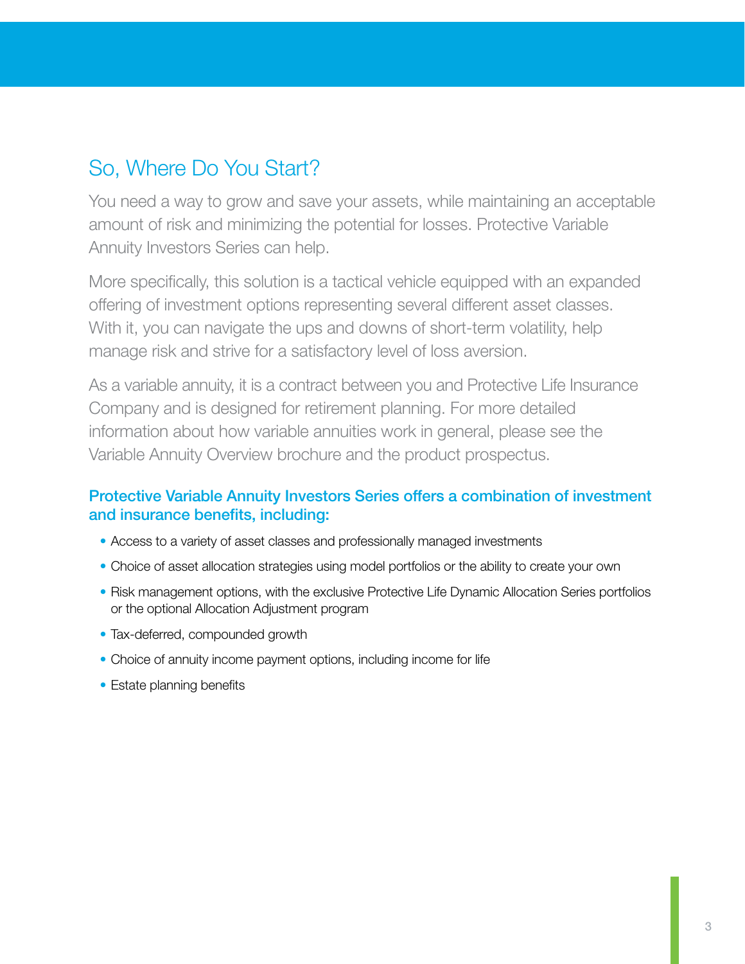## So, Where Do You Start?

You need a way to grow and save your assets, while maintaining an acceptable amount of risk and minimizing the potential for losses. Protective Variable Annuity Investors Series can help.

More specifically, this solution is a tactical vehicle equipped with an expanded offering of investment options representing several different asset classes. With it, you can navigate the ups and downs of short-term volatility, help manage risk and strive for a satisfactory level of loss aversion.

As a variable annuity, it is a contract between you and Protective Life Insurance Company and is designed for retirement planning. For more detailed information about how variable annuities work in general, please see the Variable Annuity Overview brochure and the product prospectus.

## Protective Variable Annuity Investors Series offers a combination of investment and insurance benefits, including:

- Access to a variety of asset classes and professionally managed investments
- Choice of asset allocation strategies using model portfolios or the ability to create your own
- Risk management options, with the exclusive Protective Life Dynamic Allocation Series portfolios or the optional Allocation Adjustment program
- Tax-deferred, compounded growth
- Choice of annuity income payment options, including income for life
- Estate planning benefits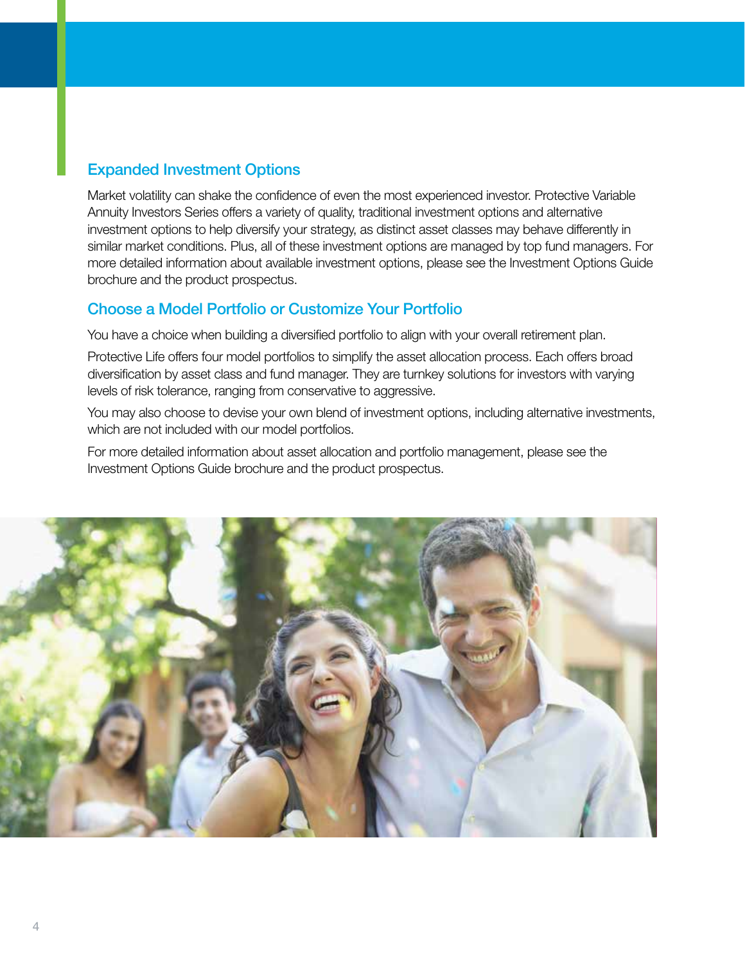## Expanded Investment Options

Market volatility can shake the confidence of even the most experienced investor. Protective Variable Annuity Investors Series offers a variety of quality, traditional investment options and alternative investment options to help diversify your strategy, as distinct asset classes may behave differently in similar market conditions. Plus, all of these investment options are managed by top fund managers. For more detailed information about available investment options, please see the Investment Options Guide brochure and the product prospectus.

#### Choose a Model Portfolio or Customize Your Portfolio

You have a choice when building a diversified portfolio to align with your overall retirement plan.

Protective Life offers four model portfolios to simplify the asset allocation process. Each offers broad diversification by asset class and fund manager. They are turnkey solutions for investors with varying levels of risk tolerance, ranging from conservative to aggressive.

You may also choose to devise your own blend of investment options, including alternative investments, which are not included with our model portfolios.

For more detailed information about asset allocation and portfolio management, please see the Investment Options Guide brochure and the product prospectus.

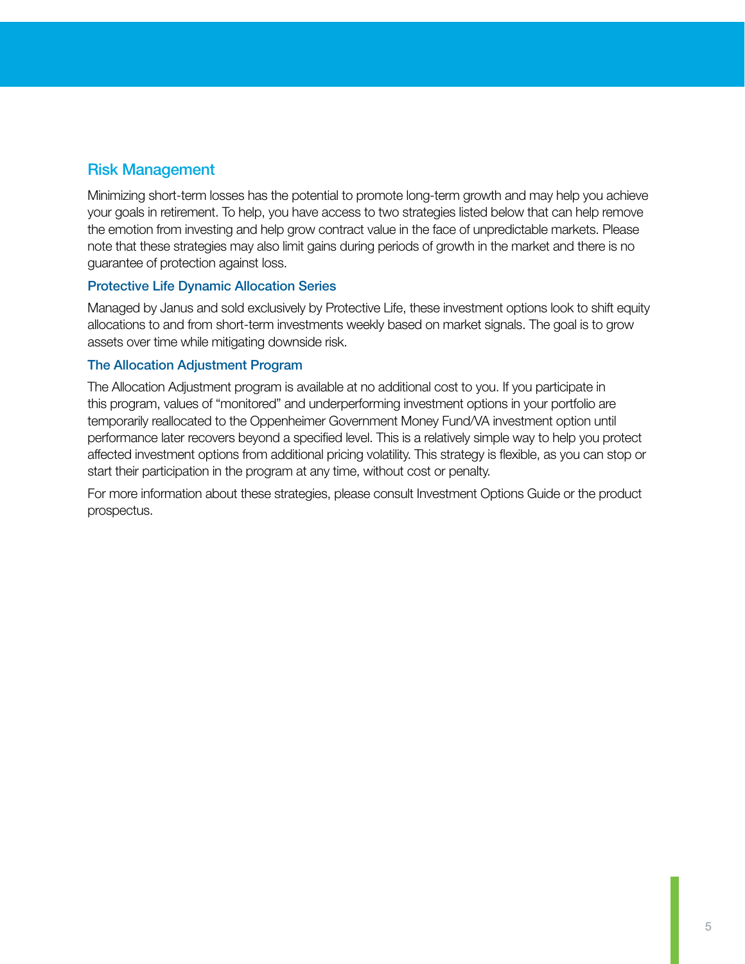## Risk Management

Minimizing short-term losses has the potential to promote long-term growth and may help you achieve your goals in retirement. To help, you have access to two strategies listed below that can help remove the emotion from investing and help grow contract value in the face of unpredictable markets. Please note that these strategies may also limit gains during periods of growth in the market and there is no guarantee of protection against loss.

#### Protective Life Dynamic Allocation Series

Managed by Janus and sold exclusively by Protective Life, these investment options look to shift equity allocations to and from short-term investments weekly based on market signals. The goal is to grow assets over time while mitigating downside risk.

#### The Allocation Adjustment Program

The Allocation Adjustment program is available at no additional cost to you. If you participate in this program, values of "monitored" and underperforming investment options in your portfolio are temporarily reallocated to the Oppenheimer Government Money Fund/VA investment option until performance later recovers beyond a specified level. This is a relatively simple way to help you protect affected investment options from additional pricing volatility. This strategy is flexible, as you can stop or start their participation in the program at any time, without cost or penalty.

For more information about these strategies, please consult Investment Options Guide or the product prospectus.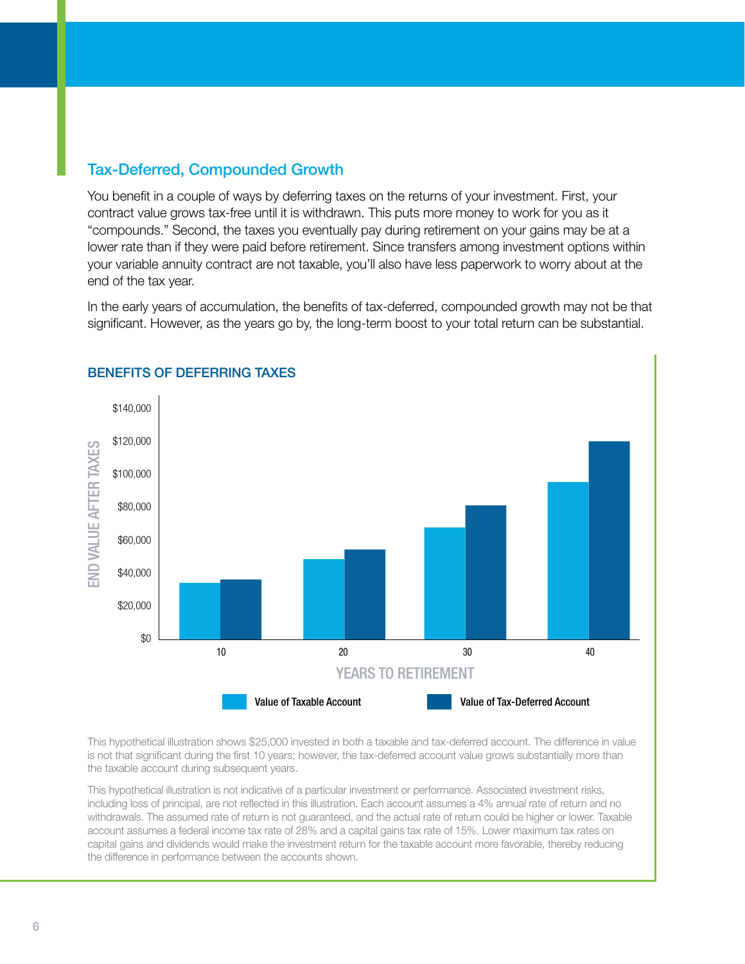## Tax-Deferred, Compounded Growth

You benefit in a couple of ways by deferring taxes on the returns of your investment. First, your contract value grows tax-free until it is withdrawn. This puts more money to work for you as it "compounds." Second, the taxes you eventually pay during retirement on your gains may be at a lower rate than if they were paid before retirement. Since transfers among investment options within your variable annuity contract are not taxable, you'll also have less paperwork to worry about at the end of the tax year.

In the early years of accumulation, the benefits of tax-deferred, compounded growth may not be that significant. However, as the years go by, the long-term boost to your total return can be substantial.



#### BENEFITS OF DEFERRING TAXES

This hypothetical illustration shows \$25,000 invested in both a taxable and tax-deferred account. The difference in value is not that significant during the first 10 years; however, the tax-deferred account value grows substantially more than the taxable account during subsequent years.

This hypothetical illustration is not indicative of a particular investment or performance. Associated investment risks, including loss of principal, are not reflected in this illustration. Each account assumes a 4% annual rate of return and no withdrawals. The assumed rate of return is not guaranteed, and the actual rate of return could be higher or lower. Taxable account assumes a federal income tax rate of 28% and a capital gains tax rate of 15%. Lower maximum tax rates on capital gains and dividends would make the investment return for the taxable account more favorable, thereby reducing the difference in performance between the accounts shown.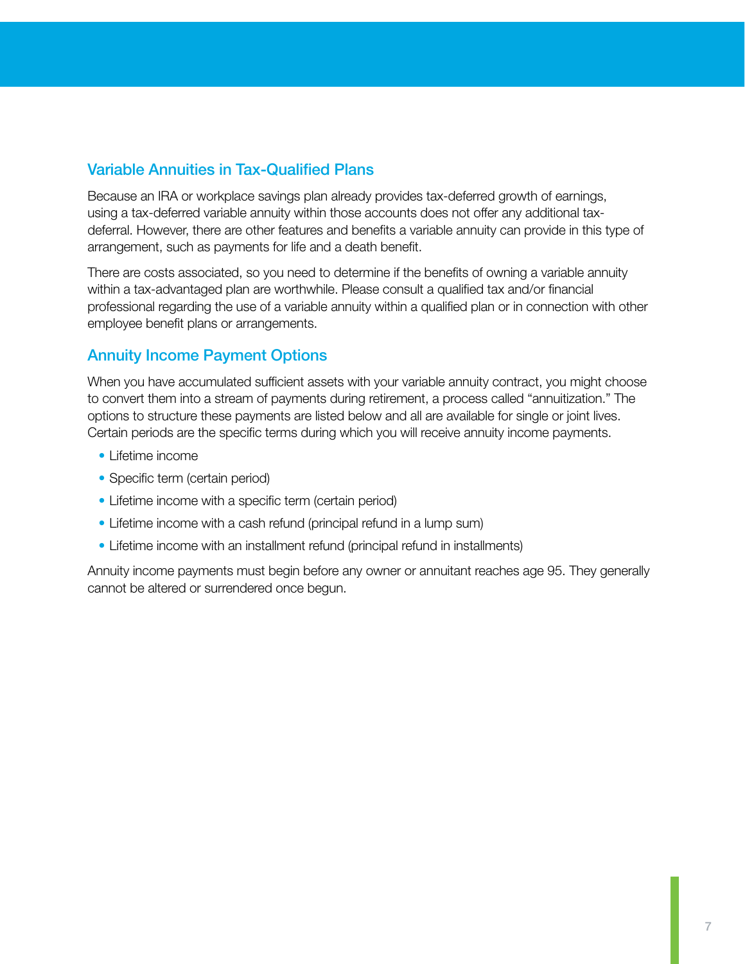## Variable Annuities in Tax-Qualified Plans

Because an IRA or workplace savings plan already provides tax-deferred growth of earnings, using a tax-deferred variable annuity within those accounts does not offer any additional taxdeferral. However, there are other features and benefits a variable annuity can provide in this type of arrangement, such as payments for life and a death benefit.

There are costs associated, so you need to determine if the benefits of owning a variable annuity within a tax-advantaged plan are worthwhile. Please consult a qualified tax and/or financial professional regarding the use of a variable annuity within a qualified plan or in connection with other employee benefit plans or arrangements.

## Annuity Income Payment Options

When you have accumulated sufficient assets with your variable annuity contract, you might choose to convert them into a stream of payments during retirement, a process called "annuitization." The options to structure these payments are listed below and all are available for single or joint lives. Certain periods are the specific terms during which you will receive annuity income payments.

- Lifetime income
- Specific term (certain period)
- Lifetime income with a specific term (certain period)
- Lifetime income with a cash refund (principal refund in a lump sum)
- Lifetime income with an installment refund (principal refund in installments)

Annuity income payments must begin before any owner or annuitant reaches age 95. They generally cannot be altered or surrendered once begun.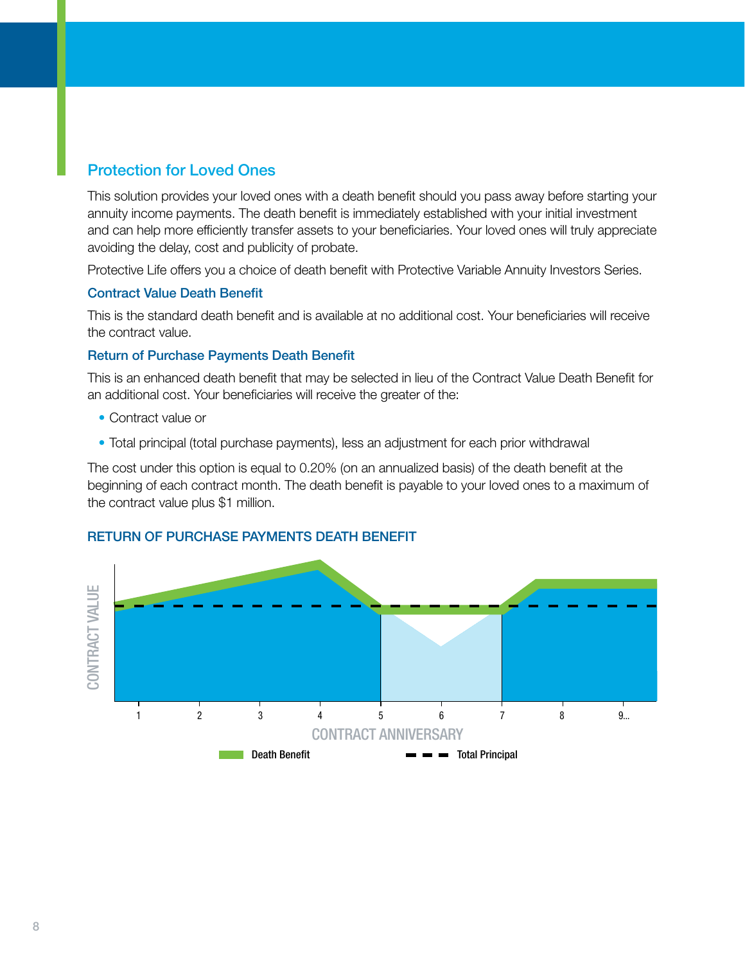## Protection for Loved Ones

This solution provides your loved ones with a death benefit should you pass away before starting your annuity income payments. The death benefit is immediately established with your initial investment and can help more efficiently transfer assets to your beneficiaries. Your loved ones will truly appreciate avoiding the delay, cost and publicity of probate.

Protective Life offers you a choice of death benefit with Protective Variable Annuity Investors Series.

#### Contract Value Death Benefit

This is the standard death benefit and is available at no additional cost. Your beneficiaries will receive the contract value.

#### Return of Purchase Payments Death Benefit

This is an enhanced death benefit that may be selected in lieu of the Contract Value Death Benefit for an additional cost. Your beneficiaries will receive the greater of the:

- Contract value or
- Total principal (total purchase payments), less an adjustment for each prior withdrawal

The cost under this option is equal to 0.20% (on an annualized basis) of the death benefit at the beginning of each contract month. The death benefit is payable to your loved ones to a maximum of the contract value plus \$1 million.



#### RETURN OF PURCHASE PAYMENTS DEATH BENEFIT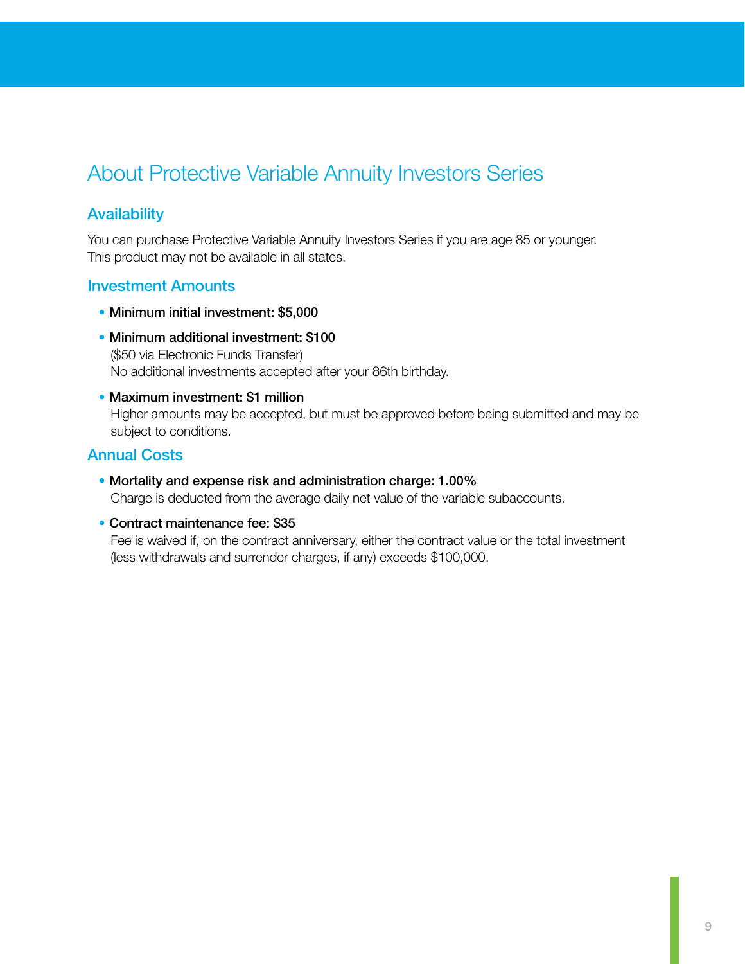## About Protective Variable Annuity Investors Series

### **Availability**

You can purchase Protective Variable Annuity Investors Series if you are age 85 or younger. This product may not be available in all states.

#### Investment Amounts

- Minimum initial investment: \$5,000
- Minimum additional investment: \$100 (\$50 via Electronic Funds Transfer) No additional investments accepted after your 86th birthday.
- Maximum investment: \$1 million Higher amounts may be accepted, but must be approved before being submitted and may be subject to conditions.

#### Annual Costs

- Mortality and expense risk and administration charge: 1.00% Charge is deducted from the average daily net value of the variable subaccounts.
- Contract maintenance fee: \$35

Fee is waived if, on the contract anniversary, either the contract value or the total investment (less withdrawals and surrender charges, if any) exceeds \$100,000.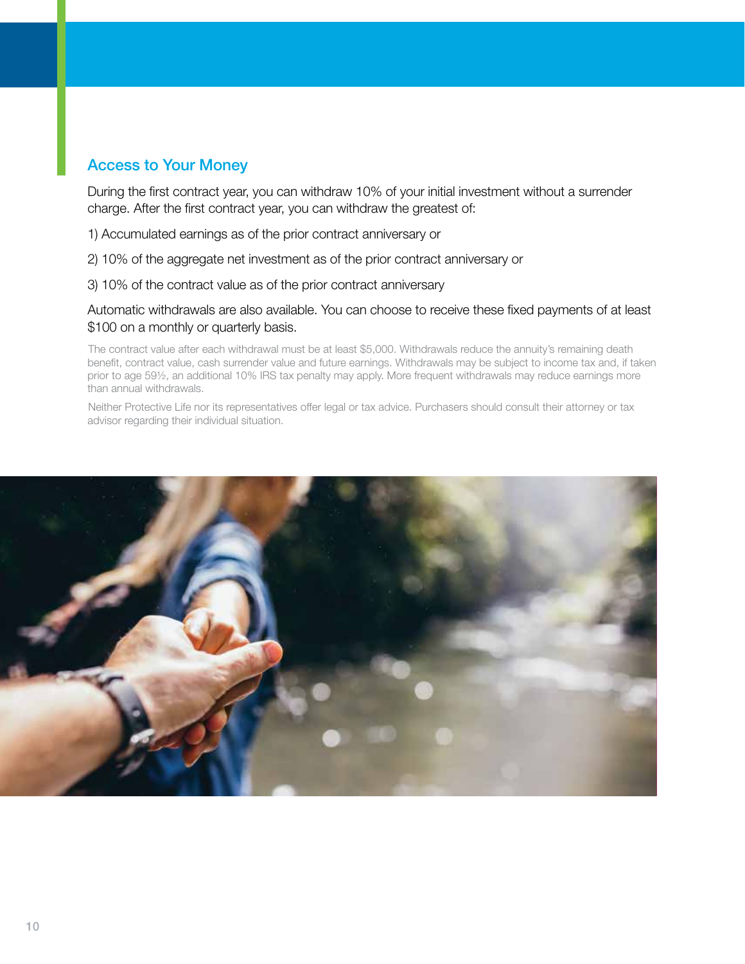## Access to Your Money

During the first contract year, you can withdraw 10% of your initial investment without a surrender charge. After the first contract year, you can withdraw the greatest of:

1) Accumulated earnings as of the prior contract anniversary or

2) 10% of the aggregate net investment as of the prior contract anniversary or

3) 10% of the contract value as of the prior contract anniversary

Automatic withdrawals are also available. You can choose to receive these fixed payments of at least \$100 on a monthly or quarterly basis.

The contract value after each withdrawal must be at least \$5,000. Withdrawals reduce the annuity's remaining death benefit, contract value, cash surrender value and future earnings. Withdrawals may be subject to income tax and, if taken prior to age 59½, an additional 10% IRS tax penalty may apply. More frequent withdrawals may reduce earnings more than annual withdrawals.

Neither Protective Life nor its representatives offer legal or tax advice. Purchasers should consult their attorney or tax advisor regarding their individual situation.

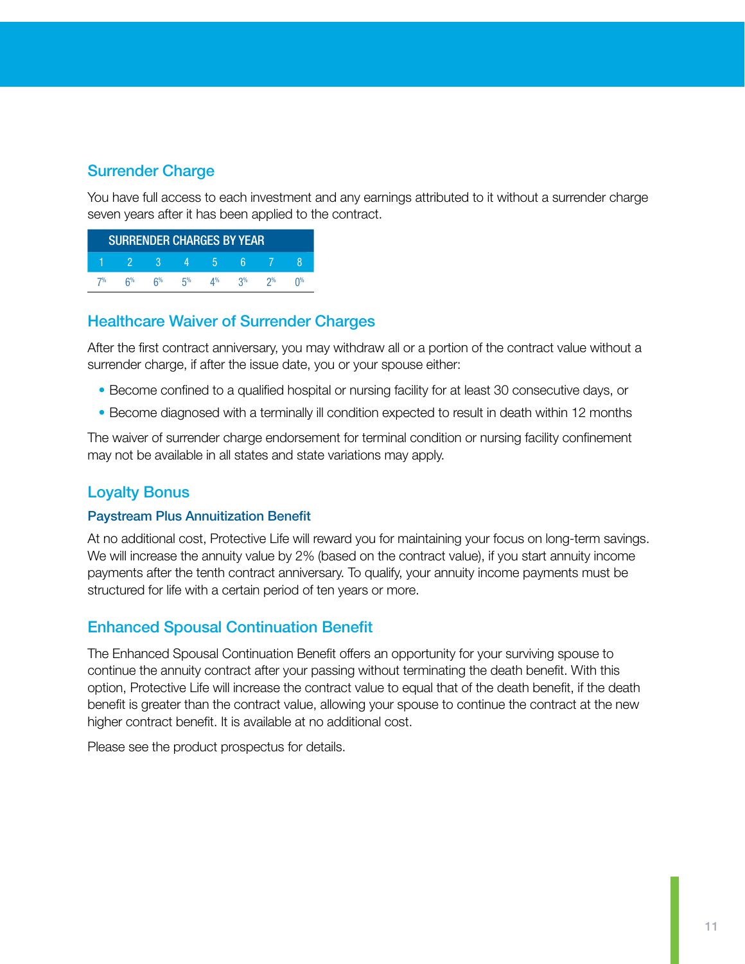## Surrender Charge

You have full access to each investment and any earnings attributed to it without a surrender charge seven years after it has been applied to the contract.

| <b>SURRENDER CHARGES BY YEAR</b> |       |    |    |    |       |    |  |
|----------------------------------|-------|----|----|----|-------|----|--|
|                                  |       |    |    | h  |       |    |  |
| 7%                               | $6\%$ | ፍ% | г% | ⊿% | $2\%$ | ገ% |  |

#### Healthcare Waiver of Surrender Charges

After the first contract anniversary, you may withdraw all or a portion of the contract value without a surrender charge, if after the issue date, you or your spouse either:

- Become confined to a qualified hospital or nursing facility for at least 30 consecutive days, or
- Become diagnosed with a terminally ill condition expected to result in death within 12 months

The waiver of surrender charge endorsement for terminal condition or nursing facility confinement may not be available in all states and state variations may apply.

#### Loyalty Bonus

#### Paystream Plus Annuitization Benefit

At no additional cost, Protective Life will reward you for maintaining your focus on long-term savings. We will increase the annuity value by 2% (based on the contract value), if you start annuity income payments after the tenth contract anniversary. To qualify, your annuity income payments must be structured for life with a certain period of ten years or more.

## Enhanced Spousal Continuation Benefit

The Enhanced Spousal Continuation Benefit offers an opportunity for your surviving spouse to continue the annuity contract after your passing without terminating the death benefit. With this option, Protective Life will increase the contract value to equal that of the death benefit, if the death benefit is greater than the contract value, allowing your spouse to continue the contract at the new higher contract benefit. It is available at no additional cost.

Please see the product prospectus for details.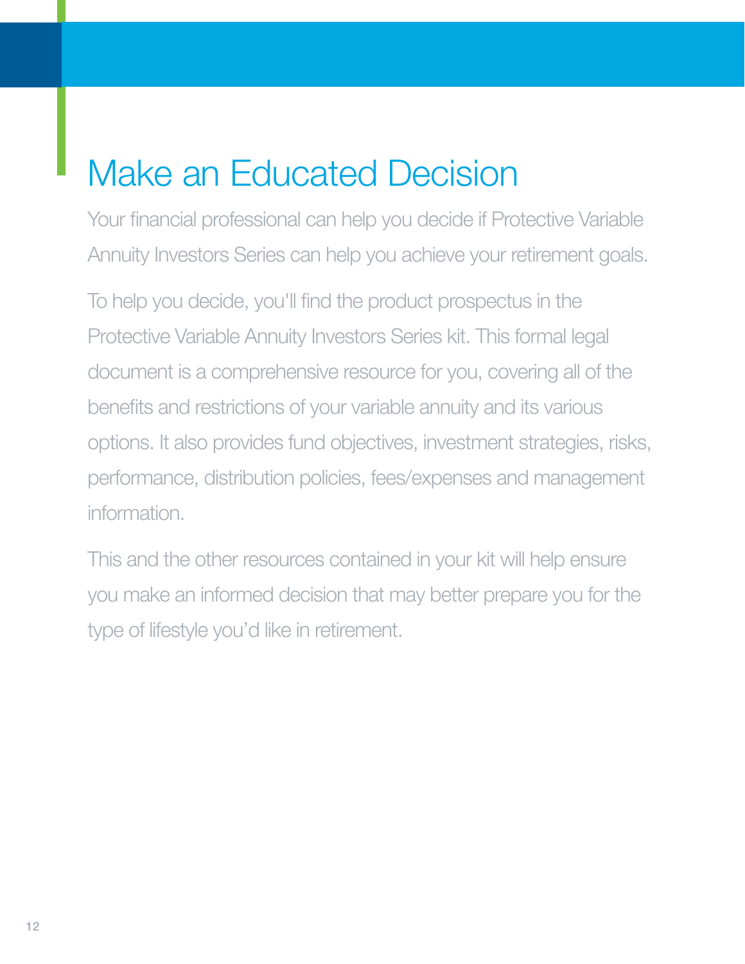# Make an Educated Decision

Your financial professional can help you decide if Protective Variable Annuity Investors Series can help you achieve your retirement goals.

To help you decide, you'll find the product prospectus in the Protective Variable Annuity Investors Series kit. This formal legal document is a comprehensive resource for you, covering all of the benefits and restrictions of your variable annuity and its various options. It also provides fund objectives, investment strategies, risks, performance, distribution policies, fees/expenses and management information.

This and the other resources contained in your kit will help ensure you make an informed decision that may better prepare you for the type of lifestyle you'd like in retirement.